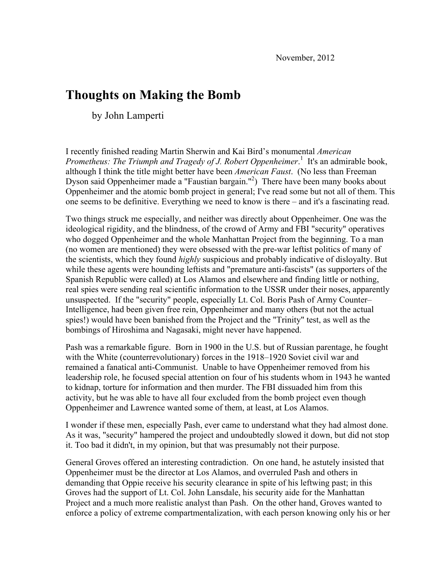# **Thoughts on Making the Bomb**

by John Lamperti

I recently finished reading Martin Sherwin and Kai Bird's monumental *American Prometheus: The Triumph and Tragedy of J. Robert Oppenheimer*. <sup>1</sup> It's an admirable book, although I think the title might better have been *American Faust*. (No less than Freeman Dyson said Oppenheimer made a "Faustian bargain."<sup>2</sup>) There have been many books about Oppenheimer and the atomic bomb project in general; I've read some but not all of them. This one seems to be definitive. Everything we need to know is there – and it's a fascinating read.

Two things struck me especially, and neither was directly about Oppenheimer. One was the ideological rigidity, and the blindness, of the crowd of Army and FBI "security" operatives who dogged Oppenheimer and the whole Manhattan Project from the beginning. To a man (no women are mentioned) they were obsessed with the pre-war leftist politics of many of the scientists, which they found *highly* suspicious and probably indicative of disloyalty. But while these agents were hounding leftists and "premature anti-fascists" (as supporters of the Spanish Republic were called) at Los Alamos and elsewhere and finding little or nothing, real spies were sending real scientific information to the USSR under their noses, apparently unsuspected. If the "security" people, especially Lt. Col. Boris Pash of Army Counter– Intelligence, had been given free rein, Oppenheimer and many others (but not the actual spies!) would have been banished from the Project and the "Trinity" test, as well as the bombings of Hiroshima and Nagasaki, might never have happened.

Pash was a remarkable figure. Born in 1900 in the U.S. but of Russian parentage, he fought with the White (counterrevolutionary) forces in the 1918–1920 Soviet civil war and remained a fanatical anti-Communist. Unable to have Oppenheimer removed from his leadership role, he focused special attention on four of his students whom in 1943 he wanted to kidnap, torture for information and then murder. The FBI dissuaded him from this activity, but he was able to have all four excluded from the bomb project even though Oppenheimer and Lawrence wanted some of them, at least, at Los Alamos.

I wonder if these men, especially Pash, ever came to understand what they had almost done. As it was, "security" hampered the project and undoubtedly slowed it down, but did not stop it. Too bad it didn't, in my opinion, but that was presumably not their purpose.

General Groves offered an interesting contradiction. On one hand, he astutely insisted that Oppenheimer must be the director at Los Alamos, and overruled Pash and others in demanding that Oppie receive his security clearance in spite of his leftwing past; in this Groves had the support of Lt. Col. John Lansdale, his security aide for the Manhattan Project and a much more realistic analyst than Pash. On the other hand, Groves wanted to enforce a policy of extreme compartmentalization, with each person knowing only his or her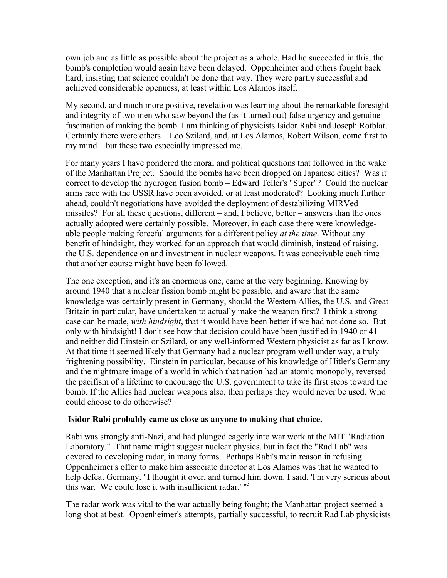own job and as little as possible about the project as a whole. Had he succeeded in this, the bomb's completion would again have been delayed. Oppenheimer and others fought back hard, insisting that science couldn't be done that way. They were partly successful and achieved considerable openness, at least within Los Alamos itself.

My second, and much more positive, revelation was learning about the remarkable foresight and integrity of two men who saw beyond the (as it turned out) false urgency and genuine fascination of making the bomb. I am thinking of physicists Isidor Rabi and Joseph Rotblat. Certainly there were others – Leo Szilard, and, at Los Alamos, Robert Wilson, come first to my mind – but these two especially impressed me.

For many years I have pondered the moral and political questions that followed in the wake of the Manhattan Project. Should the bombs have been dropped on Japanese cities? Was it correct to develop the hydrogen fusion bomb – Edward Teller's "Super"? Could the nuclear arms race with the USSR have been avoided, or at least moderated? Looking much further ahead, couldn't negotiations have avoided the deployment of destabilizing MIRVed missiles? For all these questions, different – and, I believe, better – answers than the ones actually adopted were certainly possible. Moreover, in each case there were knowledgeable people making forceful arguments for a different policy *at the time*. Without any benefit of hindsight, they worked for an approach that would diminish, instead of raising, the U.S. dependence on and investment in nuclear weapons. It was conceivable each time that another course might have been followed.

The one exception, and it's an enormous one, came at the very beginning. Knowing by around 1940 that a nuclear fission bomb might be possible, and aware that the same knowledge was certainly present in Germany, should the Western Allies, the U.S. and Great Britain in particular, have undertaken to actually make the weapon first? I think a strong case can be made, *with hindsight*, that it would have been better if we had not done so. But only with hindsight! I don't see how that decision could have been justified in 1940 or 41 – and neither did Einstein or Szilard, or any well-informed Western physicist as far as I know. At that time it seemed likely that Germany had a nuclear program well under way, a truly frightening possibility. Einstein in particular, because of his knowledge of Hitler's Germany and the nightmare image of a world in which that nation had an atomic monopoly, reversed the pacifism of a lifetime to encourage the U.S. government to take its first steps toward the bomb. If the Allies had nuclear weapons also, then perhaps they would never be used. Who could choose to do otherwise?

### **Isidor Rabi probably came as close as anyone to making that choice.**

Rabi was strongly anti-Nazi, and had plunged eagerly into war work at the MIT "Radiation Laboratory." That name might suggest nuclear physics, but in fact the "Rad Lab" was devoted to developing radar, in many forms. Perhaps Rabi's main reason in refusing Oppenheimer's offer to make him associate director at Los Alamos was that he wanted to help defeat Germany. "I thought it over, and turned him down. I said, 'I'm very serious about this war. We could lose it with insufficient radar.' " $3$ 

The radar work was vital to the war actually being fought; the Manhattan project seemed a long shot at best. Oppenheimer's attempts, partially successful, to recruit Rad Lab physicists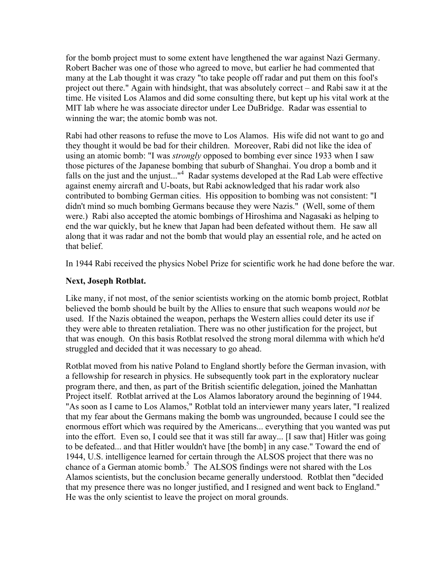for the bomb project must to some extent have lengthened the war against Nazi Germany. Robert Bacher was one of those who agreed to move, but earlier he had commented that many at the Lab thought it was crazy "to take people off radar and put them on this fool's project out there." Again with hindsight, that was absolutely correct – and Rabi saw it at the time. He visited Los Alamos and did some consulting there, but kept up his vital work at the MIT lab where he was associate director under Lee DuBridge. Radar was essential to winning the war; the atomic bomb was not.

Rabi had other reasons to refuse the move to Los Alamos. His wife did not want to go and they thought it would be bad for their children. Moreover, Rabi did not like the idea of using an atomic bomb: "I was *strongly* opposed to bombing ever since 1933 when I saw those pictures of the Japanese bombing that suburb of Shanghai. You drop a bomb and it falls on the just and the unjust..."<sup>4</sup> Radar systems developed at the Rad Lab were effective against enemy aircraft and U-boats, but Rabi acknowledged that his radar work also contributed to bombing German cities. His opposition to bombing was not consistent: "I didn't mind so much bombing Germans because they were Nazis." (Well, some of them were.) Rabi also accepted the atomic bombings of Hiroshima and Nagasaki as helping to end the war quickly, but he knew that Japan had been defeated without them. He saw all along that it was radar and not the bomb that would play an essential role, and he acted on that belief.

In 1944 Rabi received the physics Nobel Prize for scientific work he had done before the war.

## **Next, Joseph Rotblat.**

Like many, if not most, of the senior scientists working on the atomic bomb project, Rotblat believed the bomb should be built by the Allies to ensure that such weapons would *not* be used. If the Nazis obtained the weapon, perhaps the Western allies could deter its use if they were able to threaten retaliation. There was no other justification for the project, but that was enough. On this basis Rotblat resolved the strong moral dilemma with which he'd struggled and decided that it was necessary to go ahead.

Rotblat moved from his native Poland to England shortly before the German invasion, with a fellowship for research in physics. He subsequently took part in the exploratory nuclear program there, and then, as part of the British scientific delegation, joined the Manhattan Project itself. Rotblat arrived at the Los Alamos laboratory around the beginning of 1944. "As soon as I came to Los Alamos," Rotblat told an interviewer many years later, "I realized that my fear about the Germans making the bomb was ungrounded, because I could see the enormous effort which was required by the Americans... everything that you wanted was put into the effort. Even so, I could see that it was still far away... [I saw that] Hitler was going to be defeated... and that Hitler wouldn't have [the bomb] in any case." Toward the end of 1944, U.S. intelligence learned for certain through the ALSOS project that there was no chance of a German atomic bomb.<sup>5</sup> The ALSOS findings were not shared with the Los Alamos scientists, but the conclusion became generally understood. Rotblat then "decided that my presence there was no longer justified, and I resigned and went back to England." He was the only scientist to leave the project on moral grounds.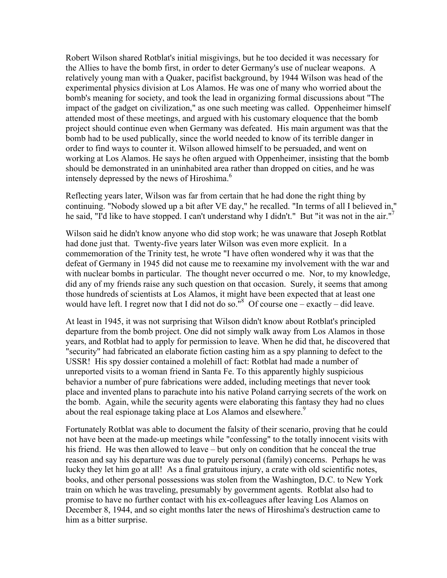Robert Wilson shared Rotblat's initial misgivings, but he too decided it was necessary for the Allies to have the bomb first, in order to deter Germany's use of nuclear weapons. A relatively young man with a Quaker, pacifist background, by 1944 Wilson was head of the experimental physics division at Los Alamos. He was one of many who worried about the bomb's meaning for society, and took the lead in organizing formal discussions about "The impact of the gadget on civilization," as one such meeting was called. Oppenheimer himself attended most of these meetings, and argued with his customary eloquence that the bomb project should continue even when Germany was defeated. His main argument was that the bomb had to be used publically, since the world needed to know of its terrible danger in order to find ways to counter it. Wilson allowed himself to be persuaded, and went on working at Los Alamos. He says he often argued with Oppenheimer, insisting that the bomb should be demonstrated in an uninhabited area rather than dropped on cities, and he was intensely depressed by the news of Hiroshima.<sup>6</sup>

Reflecting years later, Wilson was far from certain that he had done the right thing by continuing. "Nobody slowed up a bit after VE day," he recalled. "In terms of all I believed in," he said, "I'd like to have stopped. I can't understand why I didn't." But "it was not in the air."<sup>7</sup>

Wilson said he didn't know anyone who did stop work; he was unaware that Joseph Rotblat had done just that. Twenty-five years later Wilson was even more explicit. In a commemoration of the Trinity test, he wrote "I have often wondered why it was that the defeat of Germany in 1945 did not cause me to reexamine my involvement with the war and with nuclear bombs in particular. The thought never occurred o me. Nor, to my knowledge, did any of my friends raise any such question on that occasion. Surely, it seems that among those hundreds of scientists at Los Alamos, it might have been expected that at least one would have left. I regret now that I did not do so.<sup>"8</sup> Of course one – exactly – did leave.

At least in 1945, it was not surprising that Wilson didn't know about Rotblat's principled departure from the bomb project. One did not simply walk away from Los Alamos in those years, and Rotblat had to apply for permission to leave. When he did that, he discovered that "security" had fabricated an elaborate fiction casting him as a spy planning to defect to the USSR! His spy dossier contained a molehill of fact: Rotblat had made a number of unreported visits to a woman friend in Santa Fe. To this apparently highly suspicious behavior a number of pure fabrications were added, including meetings that never took place and invented plans to parachute into his native Poland carrying secrets of the work on the bomb. Again, while the security agents were elaborating this fantasy they had no clues about the real espionage taking place at Los Alamos and elsewhere.<sup>9</sup>

Fortunately Rotblat was able to document the falsity of their scenario, proving that he could not have been at the made-up meetings while "confessing" to the totally innocent visits with his friend. He was then allowed to leave – but only on condition that he conceal the true reason and say his departure was due to purely personal (family) concerns. Perhaps he was lucky they let him go at all! As a final gratuitous injury, a crate with old scientific notes, books, and other personal possessions was stolen from the Washington, D.C. to New York train on which he was traveling, presumably by government agents. Rotblat also had to promise to have no further contact with his ex-colleagues after leaving Los Alamos on December 8, 1944, and so eight months later the news of Hiroshima's destruction came to him as a bitter surprise.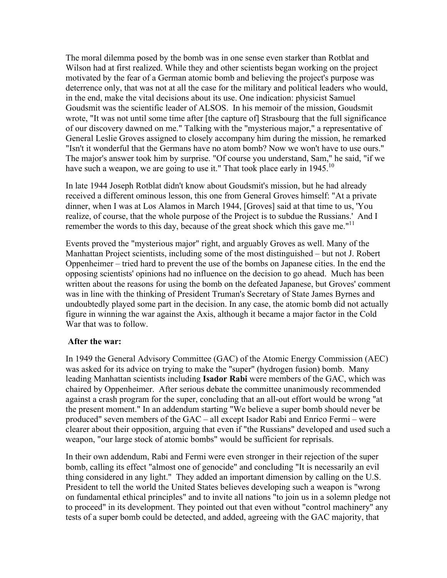The moral dilemma posed by the bomb was in one sense even starker than Rotblat and Wilson had at first realized. While they and other scientists began working on the project motivated by the fear of a German atomic bomb and believing the project's purpose was deterrence only, that was not at all the case for the military and political leaders who would, in the end, make the vital decisions about its use. One indication: physicist Samuel Goudsmit was the scientific leader of ALSOS. In his memoir of the mission, Goudsmit wrote, "It was not until some time after [the capture of] Strasbourg that the full significance of our discovery dawned on me." Talking with the "mysterious major," a representative of General Leslie Groves assigned to closely accompany him during the mission, he remarked "Isn't it wonderful that the Germans have no atom bomb? Now we won't have to use ours." The major's answer took him by surprise. "Of course you understand, Sam," he said, "if we have such a weapon, we are going to use it." That took place early in  $1945$ .<sup>10</sup>

In late 1944 Joseph Rotblat didn't know about Goudsmit's mission, but he had already received a different ominous lesson, this one from General Groves himself: "At a private dinner, when I was at Los Alamos in March 1944, [Groves] said at that time to us, 'You realize, of course, that the whole purpose of the Project is to subdue the Russians.' And I remember the words to this day, because of the great shock which this gave me."<sup>11</sup>

Events proved the "mysterious major" right, and arguably Groves as well. Many of the Manhattan Project scientists, including some of the most distinguished – but not J. Robert Oppenheimer – tried hard to prevent the use of the bombs on Japanese cities. In the end the opposing scientists' opinions had no influence on the decision to go ahead. Much has been written about the reasons for using the bomb on the defeated Japanese, but Groves' comment was in line with the thinking of President Truman's Secretary of State James Byrnes and undoubtedly played some part in the decision. In any case, the atomic bomb did not actually figure in winning the war against the Axis, although it became a major factor in the Cold War that was to follow

### **After the war:**

In 1949 the General Advisory Committee (GAC) of the Atomic Energy Commission (AEC) was asked for its advice on trying to make the "super" (hydrogen fusion) bomb. Many leading Manhattan scientists including **Isador Rabi** were members of the GAC, which was chaired by Oppenheimer. After serious debate the committee unanimously recommended against a crash program for the super, concluding that an all-out effort would be wrong "at the present moment." In an addendum starting "We believe a super bomb should never be produced" seven members of the GAC – all except Isador Rabi and Enrico Fermi – were clearer about their opposition, arguing that even if "the Russians" developed and used such a weapon, "our large stock of atomic bombs" would be sufficient for reprisals.

In their own addendum, Rabi and Fermi were even stronger in their rejection of the super bomb, calling its effect "almost one of genocide" and concluding "It is necessarily an evil thing considered in any light." They added an important dimension by calling on the U.S. President to tell the world the United States believes developing such a weapon is "wrong on fundamental ethical principles" and to invite all nations "to join us in a solemn pledge not to proceed" in its development. They pointed out that even without "control machinery" any tests of a super bomb could be detected, and added, agreeing with the GAC majority, that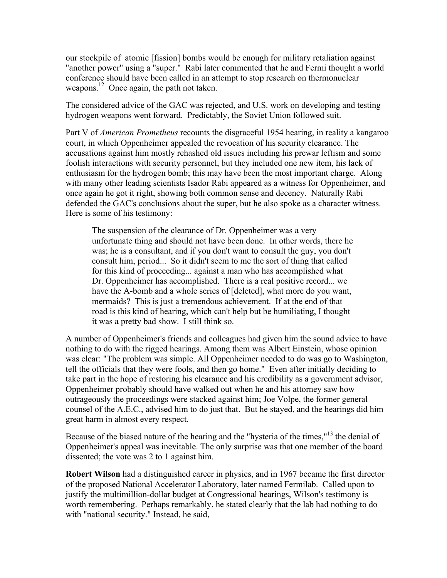our stockpile of atomic [fission] bombs would be enough for military retaliation against "another power" using a "super." Rabi later commented that he and Fermi thought a world conference should have been called in an attempt to stop research on thermonuclear weapons.<sup>12</sup> Once again, the path not taken.

The considered advice of the GAC was rejected, and U.S. work on developing and testing hydrogen weapons went forward. Predictably, the Soviet Union followed suit.

Part V of *American Prometheus* recounts the disgraceful 1954 hearing, in reality a kangaroo court, in which Oppenheimer appealed the revocation of his security clearance. The accusations against him mostly rehashed old issues including his prewar leftism and some foolish interactions with security personnel, but they included one new item, his lack of enthusiasm for the hydrogen bomb; this may have been the most important charge. Along with many other leading scientists Isador Rabi appeared as a witness for Oppenheimer, and once again he got it right, showing both common sense and decency. Naturally Rabi defended the GAC's conclusions about the super, but he also spoke as a character witness. Here is some of his testimony:

The suspension of the clearance of Dr. Oppenheimer was a very unfortunate thing and should not have been done. In other words, there he was; he is a consultant, and if you don't want to consult the guy, you don't consult him, period... So it didn't seem to me the sort of thing that called for this kind of proceeding... against a man who has accomplished what Dr. Oppenheimer has accomplished. There is a real positive record... we have the A-bomb and a whole series of [deleted], what more do you want, mermaids? This is just a tremendous achievement. If at the end of that road is this kind of hearing, which can't help but be humiliating, I thought it was a pretty bad show. I still think so.

A number of Oppenheimer's friends and colleagues had given him the sound advice to have nothing to do with the rigged hearings. Among them was Albert Einstein, whose opinion was clear: "The problem was simple. All Oppenheimer needed to do was go to Washington, tell the officials that they were fools, and then go home." Even after initially deciding to take part in the hope of restoring his clearance and his credibility as a government advisor, Oppenheimer probably should have walked out when he and his attorney saw how outrageously the proceedings were stacked against him; Joe Volpe, the former general counsel of the A.E.C., advised him to do just that. But he stayed, and the hearings did him great harm in almost every respect.

Because of the biased nature of the hearing and the "hysteria of the times,"<sup>13</sup> the denial of Oppenheimer's appeal was inevitable. The only surprise was that one member of the board dissented; the vote was 2 to 1 against him.

**Robert Wilson** had a distinguished career in physics, and in 1967 became the first director of the proposed National Accelerator Laboratory, later named Fermilab. Called upon to justify the multimillion-dollar budget at Congressional hearings, Wilson's testimony is worth remembering. Perhaps remarkably, he stated clearly that the lab had nothing to do with "national security." Instead, he said,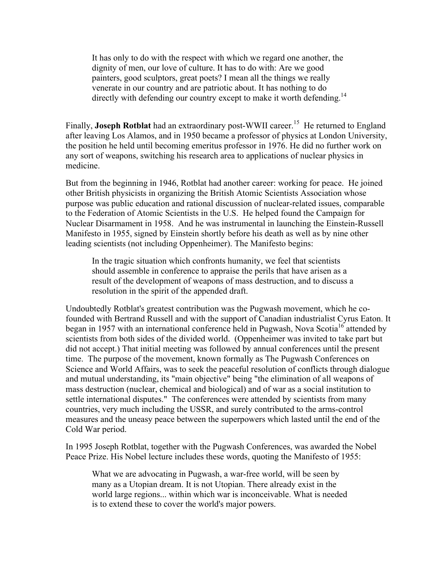It has only to do with the respect with which we regard one another, the dignity of men, our love of culture. It has to do with: Are we good painters, good sculptors, great poets? I mean all the things we really venerate in our country and are patriotic about. It has nothing to do directly with defending our country except to make it worth defending.<sup>14</sup>

Finally, **Joseph Rotblat** had an extraordinary post-WWII career.<sup>15</sup> He returned to England after leaving Los Alamos, and in 1950 became a professor of physics at London University, the position he held until becoming emeritus professor in 1976. He did no further work on any sort of weapons, switching his research area to applications of nuclear physics in medicine.

But from the beginning in 1946, Rotblat had another career: working for peace. He joined other British physicists in organizing the British Atomic Scientists Association whose purpose was public education and rational discussion of nuclear-related issues, comparable to the Federation of Atomic Scientists in the U.S. He helped found the Campaign for Nuclear Disarmament in 1958. And he was instrumental in launching the Einstein-Russell Manifesto in 1955, signed by Einstein shortly before his death as well as by nine other leading scientists (not including Oppenheimer). The Manifesto begins:

In the tragic situation which confronts humanity, we feel that scientists should assemble in conference to appraise the perils that have arisen as a result of the development of weapons of mass destruction, and to discuss a resolution in the spirit of the appended draft.

Undoubtedly Rotblat's greatest contribution was the Pugwash movement, which he cofounded with Bertrand Russell and with the support of Canadian industrialist Cyrus Eaton. It began in 1957 with an international conference held in Pugwash, Nova Scotia<sup>16</sup> attended by scientists from both sides of the divided world. (Oppenheimer was invited to take part but did not accept.) That initial meeting was followed by annual conferences until the present time. The purpose of the movement, known formally as The Pugwash Conferences on Science and World Affairs, was to seek the peaceful resolution of conflicts through dialogue and mutual understanding, its "main objective" being "the elimination of all weapons of mass destruction (nuclear, chemical and biological) and of war as a social institution to settle international disputes." The conferences were attended by scientists from many countries, very much including the USSR, and surely contributed to the arms-control measures and the uneasy peace between the superpowers which lasted until the end of the Cold War period.

In 1995 Joseph Rotblat, together with the Pugwash Conferences, was awarded the Nobel Peace Prize. His Nobel lecture includes these words, quoting the Manifesto of 1955:

What we are advocating in Pugwash, a war-free world, will be seen by many as a Utopian dream. It is not Utopian. There already exist in the world large regions... within which war is inconceivable. What is needed is to extend these to cover the world's major powers.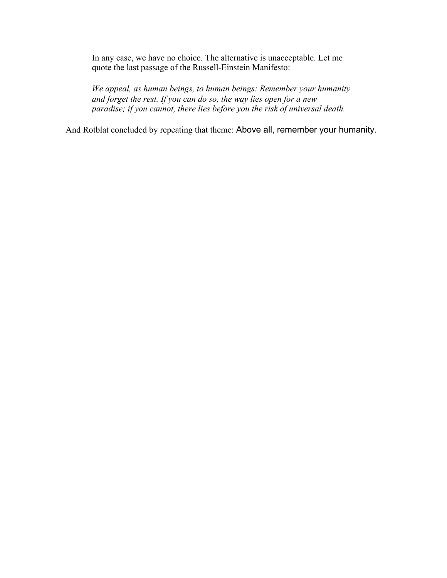In any case, we have no choice. The alternative is unacceptable. Let me quote the last passage of the Russell-Einstein Manifesto:

*We appeal, as human beings, to human beings: Remember your humanity and forget the rest. If you can do so, the way lies open for a new paradise; if you cannot, there lies before you the risk of universal death.*

And Rotblat concluded by repeating that theme: Above all, remember your humanity.